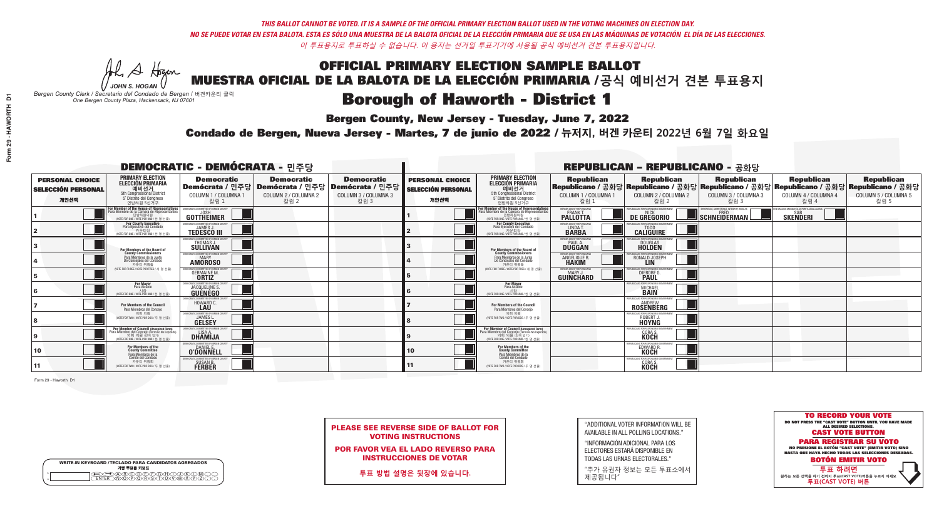A Hogen

| <b>WRITE-IN KEYBOARD /TECLADO PARA CANDIDATOS AGREGADOS</b><br>기명 투표용 키보드 |  |  |  |  |  |  |  |
|---------------------------------------------------------------------------|--|--|--|--|--|--|--|
| <b>BODE DOBA</b><br>MPORSTUM                                              |  |  |  |  |  |  |  |

### OFFICIAL PRIMARY ELECTION SAMPLE BALLOT MUESTRA OFICIAL DE LA BALOTA DE LA ELECCIÓN PRIMARIA /**공식 예비선거 견본 투표용지**

# **Borough of Haworth - District 1**

**Bergen County, New Jersey - Tuesday, June 7, 2022** 

*JOHN S. HOGAN Bergen County Clerk / Secretario del Condado de Bergen /* 버겐카운티 클럭 *One Bergen County Plaza, Hackensack, NJ 07601*



PLEASE SEE REVERSE SIDE OF BALLOT FOR VOTING INSTRUCTIONS

POR FAVOR VEA EL LADO REVERSO PARA INSTRUCCIONES DE VOTAR

**투표 방법 설명은 뒷장에 있습니다.**

"ADDITIONAL VOTER INFORMATION WILL BE AVAILABLE IN ALL POLLING LOCATIONS."

"INFORMACIÓN ADICIONAL PARA LOS ELECTORES ESTARÁ DISPONIBLE EN TODAS LAS URNAS ELECTORALES."

"추가 유권자 정보는 모든 투표소에서 제공됩니다"

Condado de Bergen, Nueva Jersey - Martes, 7 de junio de 2022 / 뉴저지, 버겐 카운티 2022년 6월 7일 화요일 *One Bergen County Plaza, Hackensack, NJ 07601*

Form 29 - Haworth D1

| <b>DEMOCRATIC - DEMÓCRATA - 민주당</b>                         |                                                                                                                                                   |                                                                                 |                                                   |                                                                                                            | <b>REPUBLICAN - REPUBLICANO - 공화당</b>                       |                                                                                                                                                    |                                                                        |                                                                      |                                                   |                                                                                                                                                |                                                   |  |
|-------------------------------------------------------------|---------------------------------------------------------------------------------------------------------------------------------------------------|---------------------------------------------------------------------------------|---------------------------------------------------|------------------------------------------------------------------------------------------------------------|-------------------------------------------------------------|----------------------------------------------------------------------------------------------------------------------------------------------------|------------------------------------------------------------------------|----------------------------------------------------------------------|---------------------------------------------------|------------------------------------------------------------------------------------------------------------------------------------------------|---------------------------------------------------|--|
| <b>PERSONAL CHOICE</b><br><b>SELECCIÓN PERSONAL</b><br>개인선택 | <b>PRIMARY ELECTION</b><br>ELECCIÓN PRIMARIA<br>예비선거<br>5th Congressional District<br>5° Distrito del Congreso<br>연방하원 5선거구                       | <b>Democratic</b><br>COLUMN 1 / COLUMNA 1<br>칼럼 1                               | <b>Democratic</b><br>COLUMN 2 / COLUMNA 2<br>칼럼 2 | <b>Democratic</b><br>Demócrata / 민주당   Demócrata / 민주당   Demócrata / 민주당  <br>COLUMN 3 / COLUMNA 3<br>칼럼 3 | <b>PERSONAL CHOICE</b><br><b>SELECCIÓN PERSONAL</b><br>개인선택 | <b>PRIMARY ELECTION</b><br>ELECCIÓN PRIMARIA<br>5th Congressional District<br>5° Distrito del Congreso<br>연방하워 5선거구                                | <b>Republican</b><br>COLUMN 1 / COLUMNA 1<br>칼럼 1                      | <b>Republican</b><br>COLUMN 2 / COLUMNA 2<br>칼럼 2                    | <b>Republican</b><br>COLUMN 3 / COLUMNA 3<br>칼럼 3 | <b>Republican</b><br>Republicano / 공화당 Republicano / 공화당 Republicano / 공화당 Republicano / 공화당 Republicano / 공화당<br>COLUMN 4 / COLUMNA 4<br>칼럼 4 | <b>Republican</b><br>COLUMN 5 / COLUMNA 5<br>칼럼 5 |  |
|                                                             | For Member of the House of Representatives<br>Para Miembro de la Cámara de Representantes<br>연방하원의원<br>(VOTE FOR ONE / VOTE POR UNO / 한 명 선출)     | EMOCRATIC COMMITTEE OF BERGEN COUNT<br><b>GOTTHEIMER</b>                        |                                                   |                                                                                                            |                                                             | For Member of the House of Representatives<br>Para Miembro de la Cámara de Representantes<br>WOTE FOR ONE / VOTE POR UNO / 한 명 선출                  | BERGEN COUNTY REPUBLICAN<br><b>PALLOTTA</b>                            | DE GREGORIO                                                          | SCHNEIDERMAN                                      | <b>SKENDERI</b>                                                                                                                                |                                                   |  |
|                                                             | For County Executive<br>Para Ejecutivo del Condado<br>가운티장<br>(VOTE FOR ONE / VOTE POR UNO / 한 명 선출)                                              | JEMOCRATIC COMMITTEE OF BERGEN COUNTY<br><b>TEDESCO III</b>                     |                                                   |                                                                                                            |                                                             | For County Executive<br>Para Ejecutivo del Condado<br>. 기운티장<br>(VOTE FOR ONE / VOTE POR UNO / 한 명 선출                                              | BERGEN COUNTY REPUBLICANS<br>LINDA T.                                  | EPUBLICANS FOR RESPONSIBLE GOVERNMENT<br><b>CALIGUIRE</b>            |                                                   |                                                                                                                                                |                                                   |  |
|                                                             | For Members of the Board of<br>County Commissioners                                                                                               | EMOCRATIC COMMITTEE OF BERGEN COUNT<br>THOMAS J.                                |                                                   |                                                                                                            |                                                             | For Members of the Board of<br>County Commissioners                                                                                                | BERGEN COUNTY REPUBLICAN<br><b>PAUL A.</b><br><b>DUGGAN</b>            | DOUGLAS<br>HOLDEN                                                    |                                                   |                                                                                                                                                |                                                   |  |
|                                                             | Para Miembros de la Junta<br>De Concejales del Condado<br>카우티 위원들                                                                                 | EMOCRATIC COMMITTEE OF BERGEN COUNTY<br><b>AMOROSO</b>                          |                                                   |                                                                                                            |                                                             | Para Miembros de la Junta<br>De Concejales del Condado<br>카운티 위원들                                                                                  | <b>IERGEN COUNTY REPUBLICANS</b><br><b>ANGELIQUE R</b><br><b>HAKIM</b> | RI ICANS ENR RESPONSIRI E GOVERNMEN<br>RONALD JOSEPH                 |                                                   |                                                                                                                                                |                                                   |  |
|                                                             | NOTE FOR THREE / VOTE POR TRES / 세 명 선출)                                                                                                          | CRATIC COMMITTEE OF BERGEN COUNT<br>GERMAINE M.<br><b>ORTIZ</b>                 |                                                   |                                                                                                            |                                                             | (VOTE FOR THREE / VOTE POR TRES / 세 명 선출)                                                                                                          | ERGEN COUNTY REPUBLICANS<br>GUINCHARD                                  | <b>DIERDRE</b>                                                       |                                                   |                                                                                                                                                |                                                   |  |
|                                                             | <b>For Mayor</b><br>Para Alcalde<br>시장<br>NOTE FOR ONE / VOTE POR UNO / 하 명 서축                                                                    | <b>10CRATIC COMMITTEE OF BERGEN CO</b><br>JACQUELINE S.<br><b>GUÉNÉGO</b>       |                                                   |                                                                                                            |                                                             | For Mayor<br>Para Alcalde<br>시장<br>NOTE FOR ONE/VOTE POR UNO/한 명 선출                                                                                |                                                                        | HIRI ICANS FOR RESPONSIRI F<br><b>MICHAEL</b>                        |                                                   |                                                                                                                                                |                                                   |  |
|                                                             | For Members of the Council<br>Para Miembros del Conceio                                                                                           | HOWARD C                                                                        |                                                   |                                                                                                            |                                                             | <b>For Members of the Council</b><br>Para Miembros del Conceio                                                                                     |                                                                        | <b>IEPUBLICANS FOR RESPONSIBLE GO</b><br>ROSENBERG                   |                                                   |                                                                                                                                                |                                                   |  |
|                                                             | 의회 의원<br>NOTE FOR TWO / VOTE POR DOS / 두 명 선출)                                                                                                    | <b>EMOCRATIC COMMITTEE OF BEBGEN COUNTY</b><br><b>JAMES L.</b><br><b>GELSEY</b> |                                                   |                                                                                                            |                                                             | 의회 의워<br>WOTE FOR TWO / VOTE POR DOS / 두 명 선출)                                                                                                     |                                                                        | UBLICANS FOR RESPONSIBLE GOVERNMENT<br><b>ROBERT</b><br><b>HOYNG</b> |                                                   |                                                                                                                                                |                                                   |  |
|                                                             | For Member of Council (Unexpired Term)<br>Para Miembro del Concejo (Término No Expirado)<br>의회 의원 (찬예임기)<br>WOTE FOR ONE / VOTE POR UNO / 한 명 선출) | MOCRATIC COMMITTEE OF BERGEN COUNTY<br>LISA A.<br><b>DHAMIJA</b>                |                                                   |                                                                                                            |                                                             | For Member of Council (Unexpired Term)<br>Para Miembro del Concejo (Término No Expirado)<br>의회 의원 (잔여 임기)<br>WOTE FOR ONE / VOTE POR UNO / 하 명 선축) |                                                                        | EPHRLICANS ENR RESPONSIBLE GO<br><b>CORA S.</b><br><b>KOCH</b>       |                                                   |                                                                                                                                                |                                                   |  |
| 10                                                          | For Members of the<br>County Committee<br>Para Miembros de la<br>Comité del Condado                                                               | MOCRATIC COMMITTEE OF BERGEN COUN<br><b>O'DONNELE</b>                           |                                                   |                                                                                                            |                                                             | For Members of the<br>County Committee<br>Para Miembros de la<br>Comité del Condado                                                                |                                                                        | EDWARD F                                                             |                                                   |                                                                                                                                                |                                                   |  |
| 11                                                          | 카운티 위원회<br>(VOTE FOR TWO / VOTE POR DOS / 두 명 선출)                                                                                                 | EMOCRATIC COMMITTEE OF BERGEN COUNTY<br>SUSAN B.<br>FERBER                      |                                                   |                                                                                                            |                                                             | 카운티 위원회<br>WOTE FOR TWO / VOTE POR DOS / 두 명 선출)                                                                                                   |                                                                        | EPUBLICANS FOR RESPONSIBLE GOVERNMENT<br>CORA <sub>S</sub> .         |                                                   |                                                                                                                                                |                                                   |  |